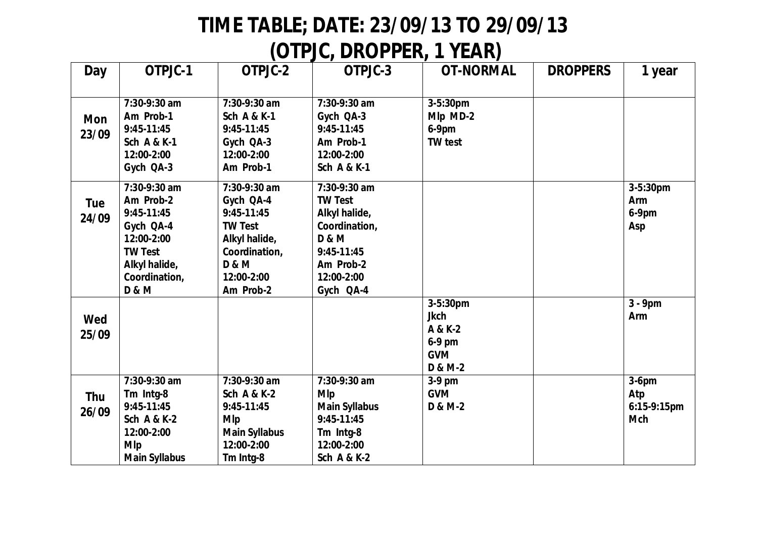## **TIME TABLE; DATE: 23/09/13 TO 29/09/13**

## **(OTPJC, DROPPER, 1 YEAR)**

| Day                 | OTPJC-1                                                                                                                                    | OTPJC-2                                                                                                                                      | OTPJC-3                                                                                                                                    | <b>OT-NORMAL</b>                                                      | <b>DROPPERS</b> | 1 year                                       |
|---------------------|--------------------------------------------------------------------------------------------------------------------------------------------|----------------------------------------------------------------------------------------------------------------------------------------------|--------------------------------------------------------------------------------------------------------------------------------------------|-----------------------------------------------------------------------|-----------------|----------------------------------------------|
|                     |                                                                                                                                            |                                                                                                                                              |                                                                                                                                            |                                                                       |                 |                                              |
| <b>Mon</b><br>23/09 | 7:30-9:30 am<br>Am Prob-1<br>9:45-11:45<br><b>Sch A &amp; K-1</b><br>12:00-2:00<br>Gych QA-3                                               | 7:30-9:30 am<br><b>Sch A &amp; K-1</b><br>9:45-11:45<br>Gych QA-3<br>12:00-2:00<br>Am Prob-1                                                 | 7:30-9:30 am<br>Gych QA-3<br>9:45-11:45<br>Am Prob-1<br>12:00-2:00<br><b>Sch A &amp; K-1</b>                                               | 3-5:30pm<br>Mlp MD-2<br>$6-9$ pm<br><b>TW</b> test                    |                 |                                              |
| Tue<br>24/09        | 7:30-9:30 am<br>Am Prob-2<br>9:45-11:45<br>Gych QA-4<br>12:00-2:00<br><b>TW Test</b><br>Alkyl halide,<br>Coordination,<br><b>D &amp; M</b> | 7:30-9:30 am<br>Gych QA-4<br>$9:45-11:45$<br><b>TW Test</b><br>Alkyl halide,<br>Coordination,<br><b>D &amp; M</b><br>12:00-2:00<br>Am Prob-2 | 7:30-9:30 am<br><b>TW Test</b><br>Alkyl halide,<br>Coordination,<br><b>D &amp; M</b><br>9:45-11:45<br>Am Prob-2<br>12:00-2:00<br>Gych QA-4 |                                                                       |                 | 3-5:30pm<br>Arm<br>$6-9$ pm<br>Asp           |
| Wed<br>25/09        |                                                                                                                                            |                                                                                                                                              |                                                                                                                                            | 3-5:30pm<br><b>Jkch</b><br>A & K-2<br>6-9 pm<br><b>GVM</b><br>D & M-2 |                 | $3 - 9$ pm<br>Arm                            |
| <b>Thu</b><br>26/09 | 7:30-9:30 am<br>Tm Intg-8<br>9:45-11:45<br><b>Sch A &amp; K-2</b><br>12:00-2:00<br><b>MIp</b><br><b>Main Syllabus</b>                      | 7:30-9:30 am<br><b>Sch A &amp; K-2</b><br>$9:45-11:45$<br><b>MIp</b><br><b>Main Syllabus</b><br>12:00-2:00<br>Tm Intg-8                      | 7:30-9:30 am<br><b>MIp</b><br><b>Main Syllabus</b><br>9:45-11:45<br>Tm Intg-8<br>12:00-2:00<br><b>Sch A &amp; K-2</b>                      | $3-9$ pm<br><b>GVM</b><br>D & M-2                                     |                 | $3-6$ pm<br>Atp<br>6:15-9:15pm<br><b>Mch</b> |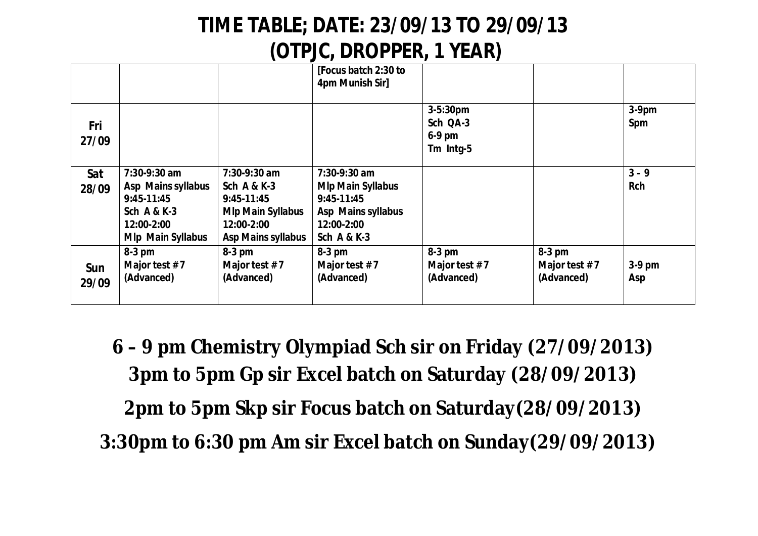## **TIME TABLE; DATE: 23/09/13 TO 29/09/13 (OTPJC, DROPPER, 1 YEAR)**

|              |                                                                                                                        |                                                                                                                               | [Focus batch 2:30 to<br>4pm Munish Sir]                                                                                |                                               |                                         |                       |
|--------------|------------------------------------------------------------------------------------------------------------------------|-------------------------------------------------------------------------------------------------------------------------------|------------------------------------------------------------------------------------------------------------------------|-----------------------------------------------|-----------------------------------------|-----------------------|
| Fri<br>27/09 |                                                                                                                        |                                                                                                                               |                                                                                                                        | 3-5:30pm<br>Sch QA-3<br>$6-9$ pm<br>Tm Intg-5 |                                         | $3-9$ pm<br>Spm       |
| Sat<br>28/09 | 7:30-9:30 am<br>Asp Mains syllabus<br>$9:45-11:45$<br><b>Sch A &amp; K-3</b><br>12:00-2:00<br><b>Mlp Main Syllabus</b> | 7:30-9:30 am<br><b>Sch A &amp; K-3</b><br>$9:45-11:45$<br><b>Mlp Main Syllabus</b><br>12:00-2:00<br><b>Asp Mains syllabus</b> | 7:30-9:30 am<br><b>MIp Main Syllabus</b><br>$9:45-11:45$<br>Asp Mains syllabus<br>12:00-2:00<br><b>Sch A &amp; K-3</b> |                                               |                                         | $3 - 9$<br><b>Rch</b> |
| Sun<br>29/09 | $8-3$ pm<br>Major test #7<br>(Advanced)                                                                                | $8-3$ pm<br>Major test $# 7$<br>(Advanced)                                                                                    | $8-3$ pm<br>Major test $#7$<br>(Advanced)                                                                              | $8-3$ pm<br>Major test #7<br>(Advanced)       | $8-3$ pm<br>Major test #7<br>(Advanced) | $3-9$ pm<br>Asp       |

**6 – 9 pm Chemistry Olympiad Sch sir on Friday (27/09/2013) 3pm to 5pm Gp sir Excel batch on Saturday (28/09/2013) 2pm to 5pm Skp sir Focus batch on Saturday(28/09/2013) 3:30pm to 6:30 pm Am sir Excel batch on Sunday(29/09/2013)**